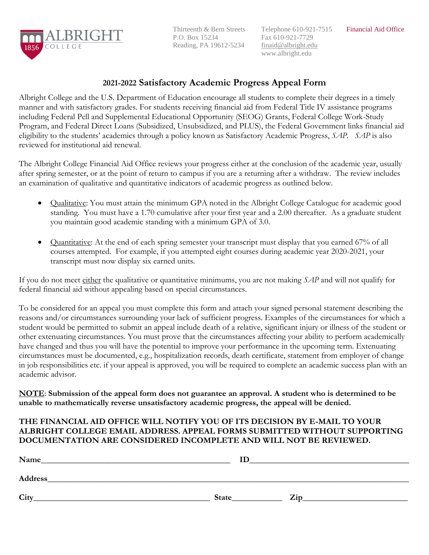

Thirteenth & Bern Streets P.O. Box 15234 Reading, PA 19612-5234

Telephone 610-921-7515 Fax 610-921-7729 finaid@albright.edu www.albright.edu

# **2021-2022 Satisfactory Academic Progress Appeal Form**

Albright College and the U.S. Department of Education encourage all students to complete their degrees in a timely manner and with satisfactory grades. For students receiving financial aid from Federal Title IV assistance programs including Federal Pell and Supplemental Educational Opportunity (SEOG) Grants, Federal College Work-Study Program, and Federal Direct Loans (Subsidized, Unsubsidized, and PLUS), the Federal Government links financial aid eligibility to the students' academics through a policy known as Satisfactory Academic Progress, *SAP*. *SAP* is also reviewed for institutional aid renewal.

The Albright College Financial Aid Office reviews your progress either at the conclusion of the academic year, usually after spring semester, or at the point of return to campus if you are a returning after a withdraw. The review includes an examination of qualitative and quantitative indicators of academic progress as outlined below.

- Qualitative: You must attain the minimum GPA noted in the Albright College Catalogue for academic good standing. You must have a 1.70 cumulative after your first year and a 2.00 thereafter. As a graduate student you maintain good academic standing with a minimum GPA of 3.0.
- Quantitative: At the end of each spring semester your transcript must display that you earned 67% of all courses attempted. For example, if you attempted eight courses during academic year 2020-2021, your transcript must now display six earned units.

If you do not meet either the qualitative or quantitative minimums, you are not making *SAP* and will not qualify for federal financial aid without appealing based on special circumstances.

To be considered for an appeal you must complete this form and attach your signed personal statement describing the reasons and/or circumstances surrounding your lack of sufficient progress. Examples of the circumstances for which a student would be permitted to submit an appeal include death of a relative, significant injury or illness of the student or other extenuating circumstances. You must prove that the circumstances affecting your ability to perform academically have changed and thus you will have the potential to improve your performance in the upcoming term. Extenuating circumstances must be documented, e.g., hospitalization records, death certificate, statement from employer of change in job responsibilities etc. if your appeal is approved, you will be required to complete an academic success plan with an academic advisor.

**NOTE**: **Submission of the appeal form does not guarantee an approval. A student who is determined to be unable to mathematically reverse unsatisfactory academic progress, the appeal will be denied.** 

#### **THE FINANCIAL AID OFFICE WILL NOTIFY YOU OF ITS DECISION BY E-MAIL TO YOUR ALBRIGHT COLLEGE EMAIL ADDRESS. APPEAL FORMS SUBMITTED WITHOUT SUPPORTING DOCUMENTATION ARE CONSIDERED INCOMPLETE AND WILL NOT BE REVIEWED.**

| Name    | ΙD    |     |
|---------|-------|-----|
| Address |       |     |
| City    | State | Zip |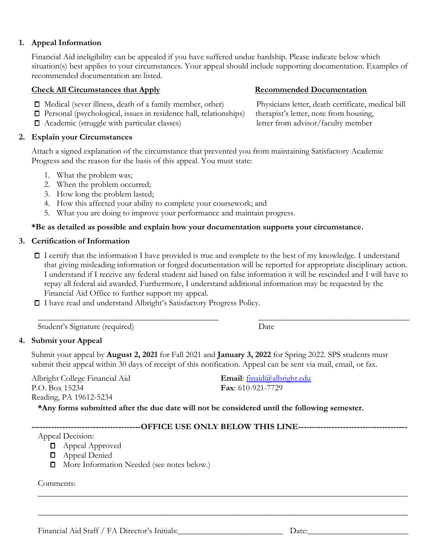Financial Aid Staff / FA Director's Initials:\_\_\_\_\_\_\_\_\_\_\_\_\_\_\_\_\_\_\_\_\_\_\_\_\_ Date:\_\_\_\_\_\_\_\_\_\_\_\_\_\_\_\_\_\_\_\_\_\_\_\_

# **1. Appeal Information**

Financial Aid ineligibility can be appealed if you have suffered undue hardship. Please indicate below which situation(s) best applies to your circumstances. Your appeal should include supporting documentation. Examples of recommended documentation are listed.

#### **Check All Circumstances that Apply Secommended Documentation**

- Medical (sever illness, death of a family member, other) Physicians letter, death certificate, medical bill
- Personal (psychological, issues in residence hall, relationships) therapist's letter, note from housing,
- Academic (struggle with particular classes) letter from advisor/faculty member

# **2. Explain your Circumstances**

Attach a signed explanation of the circumstance that prevented you from maintaining Satisfactory Academic Progress and the reason for the basis of this appeal. You must state:

- 1. What the problem was;
- 2. When the problem occurred;
- 3. How long the problem lasted;
- 4. How this affected your ability to complete your coursework; and
- 5. What you are doing to improve your performance and maintain progress.

# **\*Be as detailed as possible and explain how your documentation supports your circumstance.**

#### **3. Certification of Information**

I certify that the information I have provided is true and complete to the best of my knowledge. I understand that giving misleading information or forged documentation will be reported for appropriate disciplinary action. I understand if I receive any federal student aid based on false information it will be rescinded and I will have to repay all federal aid awarded. Furthermore, I understand additional information may be requested by the Financial Aid Office to further support my appeal.

 $\_$  , and the set of the set of the set of the set of the set of the set of the set of the set of the set of the set of the set of the set of the set of the set of the set of the set of the set of the set of the set of th

I have read and understand Albright's Satisfactory Progress Policy.

Student's Signature (required) Date

# **4. Submit your Appeal**

Submit your appeal by **August 2, 2021** for Fall 2021 and **January 3, 2022** for Spring 2022. SPS students must submit their appeal within 30 days of receipt of this notification. Appeal can be sent via mail, email, or fax.

Albright College Financial Aid P.O. Box 15234 Reading, PA 19612-5234

**Fax**: 610-921-7729

**\*Any forms submitted after the due date will not be considered until the following semester.** 

**---------------------------------------OFFICE USE ONLY BELOW THIS LINE---------------------------------------**

\_\_\_\_\_\_\_\_\_\_\_\_\_\_\_\_\_\_\_\_\_\_\_\_\_\_\_\_\_\_\_\_\_\_\_\_\_\_\_\_\_\_\_\_\_\_\_\_\_\_\_\_\_\_\_\_\_\_\_\_\_\_\_\_\_\_\_\_\_\_\_\_\_\_\_\_\_\_\_\_\_\_\_\_\_\_\_\_

Appeal Decision:

- **D** Appeal Approved
- **D** Appeal Denied
- **D** More Information Needed (see notes below.)

Comments: \_\_\_\_\_\_\_\_\_\_\_\_\_\_\_\_\_\_\_\_\_\_\_\_\_\_\_\_\_\_\_\_\_\_\_\_\_\_\_\_\_\_\_\_\_\_\_\_\_\_\_\_\_\_\_\_\_\_\_\_\_\_\_\_\_\_\_\_\_\_\_\_\_\_\_\_\_\_\_\_\_\_\_\_\_\_\_\_

**Email**: [finaid@albright.edu](mailto:finaid@albright.edu)